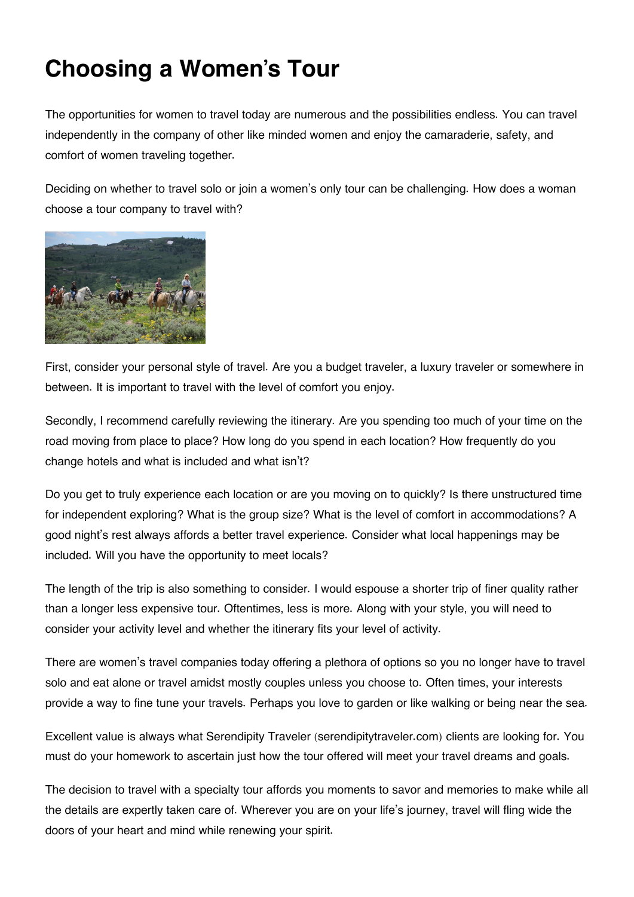## **Choosing a Women's Tour**

The opportunities for women to travel today are numerous and the possibilities endless. You can travel independently in the company of other like minded women and enjoy the camaraderie, safety, and comfort of women traveling together.

Deciding on whether to travel solo or join a women's only tour can be challenging. How does a woman choose a tour company to travel with?



First, consider your personal style of travel. Are you a budget traveler, a luxury traveler or somewhere in between. It is important to travel with the level of comfort you enjoy.

Secondly, I recommend carefully reviewing the itinerary. Are you spending too much of your time on the road moving from place to place? How long do you spend in each location? How frequently do you change hotels and what is included and what isn't?

Do you get to truly experience each location or are you moving on to quickly? Is there unstructured time for independent exploring? What is the group size? What is the level of comfort in accommodations? A good night's rest always affords a better travel experience. Consider what local happenings may be included. Will you have the opportunity to meet locals?

The length of the trip is also something to consider. I would espouse a shorter trip of finer quality rather than a longer less expensive tour. Oftentimes, less is more. Along with your style, you will need to consider your activity level and whether the itinerary fits your level of activity.

There are women's travel companies today offering a plethora of options so you no longer have to travel solo and eat alone or travel amidst mostly couples unless you choose to. Often times, your interests provide a way to fine tune your travels. Perhaps you love to garden or like walking or being near the sea.

Excellent value is always what Serendipity Traveler (serendipitytraveler.com) clients are looking for. You must do your homework to ascertain just how the tour offered will meet your travel dreams and goals.

The decision to travel with a specialty tour affords you moments to savor and memories to make while all the details are expertly taken care of. Wherever you are on your life's journey, travel will fling wide the doors of your heart and mind while renewing your spirit.